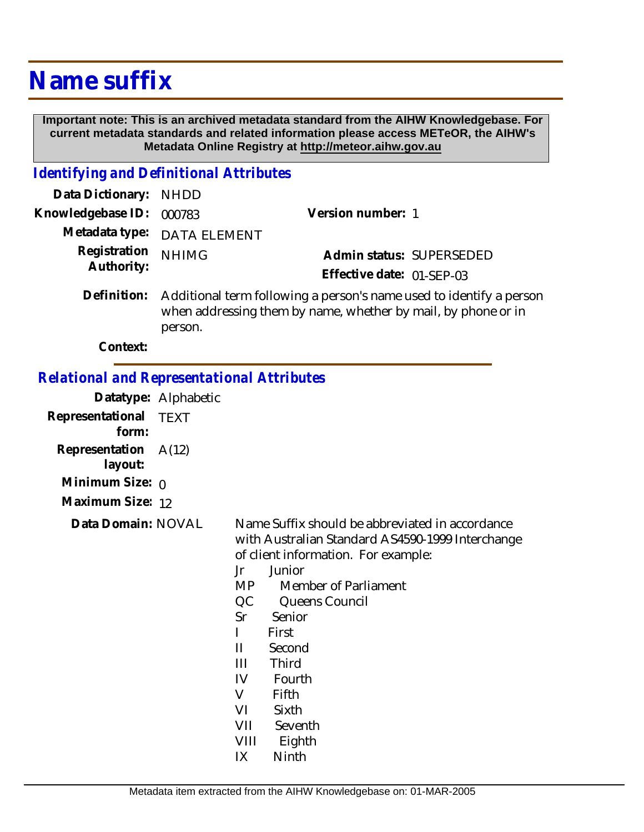## **Name suffix**

 **Important note: This is an archived metadata standard from the AIHW Knowledgebase. For current metadata standards and related information please access METeOR, the AIHW's Metadata Online Registry at http://meteor.aihw.gov.au**

## *Identifying and Definitional Attributes*

| Data Dictionary: NHDD      |                                                                                                                                                 |                           |  |
|----------------------------|-------------------------------------------------------------------------------------------------------------------------------------------------|---------------------------|--|
| Knowledgebase ID:          | 000783                                                                                                                                          | Version number: 1         |  |
|                            | Metadata type: DATA ELEMENT                                                                                                                     |                           |  |
| Registration<br>Authority: | <b>NHIMG</b>                                                                                                                                    | Admin status: SUPERSEDED  |  |
|                            |                                                                                                                                                 | Effective date: 01-SEP-03 |  |
| Definition:                | Additional term following a person's name used to identify a person<br>when addressing them by name, whether by mail, by phone or in<br>person. |                           |  |

**Context:**

## *Relational and Representational Attributes*

| ciativnai anu Kepiesentat       |                      |
|---------------------------------|----------------------|
|                                 | Datatype: Alphabetic |
| Representational TEXT<br>form:  |                      |
| Representation A(12)<br>layout: |                      |
| Minimum Size: ი                 |                      |
| Maximum Size: 12                |                      |
| Data Domain: NOVAL              |                      |
|                                 |                      |
|                                 |                      |

Name Suffix should be abbreviated in accordance with Australian Standard AS4590-1999 Interchange of client information. For example: Jr Junior

- MP Member of Parliament
- QC Queens Council
- Sr Senior
- I First
- II Second
- III Third
- IV Fourth
- V Fifth
- VI Sixth
- VII Seventh
- VIII Eighth
- IX Ninth